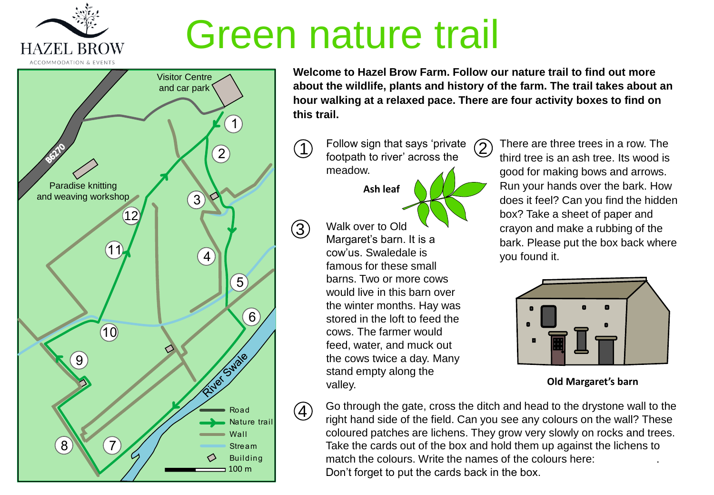

## Green nature trail

3

 $\left( 4\right)$ 



**Welcome to Hazel Brow Farm. Follow our nature trail to find out more about the wildlife, plants and history of the farm. The trail takes about an hour walking at a relaxed pace. There are four activity boxes to find on this trail.**

Follow sign that says 'private  $\circled{2}$ footpath to river' across the meadow.  $(1)$ 

**Ash leaf**

Walk over to Old Margaret's barn. It is a cow'us. Swaledale is famous for these small barns. Two or more cows would live in this barn over the winter months. Hay was stored in the loft to feed the cows. The farmer would feed, water, and muck out the cows twice a day. Many stand empty along the valley.

There are three trees in a row. The third tree is an ash tree. Its wood is good for making bows and arrows. Run your hands over the bark. How does it feel? Can you find the hidden box? Take a sheet of paper and crayon and make a rubbing of the bark. Please put the box back where you found it.



**Old Margaret's barn**

Go through the gate, cross the ditch and head to the drystone wall to the right hand side of the field. Can you see any colours on the wall? These coloured patches are lichens. They grow very slowly on rocks and trees. Take the cards out of the box and hold them up against the lichens to match the colours. Write the names of the colours here: Don't forget to put the cards back in the box.